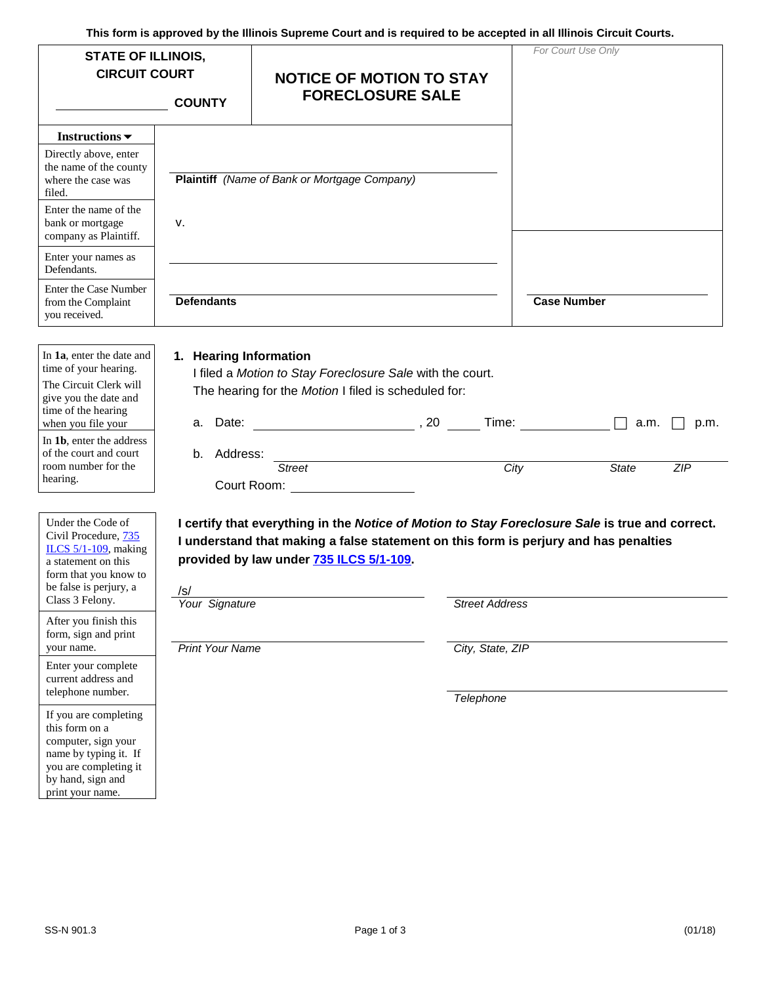| This form is approved by the illinois Supreme Court and is required to be accepted in all illinois Circuit Courts.<br><b>STATE OF ILLINOIS,</b><br><b>CIRCUIT COURT</b> |                              | <b>NOTICE OF MOTION TO STAY</b>                                                                                                                                                     |                       | For Court Use Only                                                                              |  |  |
|-------------------------------------------------------------------------------------------------------------------------------------------------------------------------|------------------------------|-------------------------------------------------------------------------------------------------------------------------------------------------------------------------------------|-----------------------|-------------------------------------------------------------------------------------------------|--|--|
|                                                                                                                                                                         | <b>COUNTY</b>                | <b>FORECLOSURE SALE</b>                                                                                                                                                             |                       |                                                                                                 |  |  |
| Instructions $\blacktriangledown$                                                                                                                                       |                              |                                                                                                                                                                                     |                       |                                                                                                 |  |  |
| Directly above, enter<br>the name of the county<br>where the case was<br>filed.                                                                                         |                              | <b>Plaintiff</b> (Name of Bank or Mortgage Company)                                                                                                                                 |                       |                                                                                                 |  |  |
| Enter the name of the<br>bank or mortgage<br>company as Plaintiff.                                                                                                      | ν.                           |                                                                                                                                                                                     |                       |                                                                                                 |  |  |
| Enter your names as<br>Defendants.                                                                                                                                      |                              |                                                                                                                                                                                     |                       |                                                                                                 |  |  |
| <b>Enter the Case Number</b><br>from the Complaint<br>you received.                                                                                                     | <b>Defendants</b>            |                                                                                                                                                                                     |                       | <b>Case Number</b>                                                                              |  |  |
| In 1a, enter the date and<br>time of your hearing.<br>The Circuit Clerk will<br>give you the date and<br>time of the hearing<br>when you file your                      | 1. Hearing Information       | I filed a Motion to Stay Foreclosure Sale with the court.<br>The hearing for the Motion I filed is scheduled for:<br>a. Date: $\qquad \qquad \qquad .20$ Time: $\qquad \qquad \Box$ |                       | a.m.<br>p.m.                                                                                    |  |  |
| In 1b, enter the address<br>of the court and court<br>room number for the<br>hearing.                                                                                   | b. Address:                  | <b>Street</b><br>Court Room: The Court Room                                                                                                                                         | City                  | <b>State</b><br><b>ZIP</b>                                                                      |  |  |
| Under the Code of<br>Civil Procedure, 735<br>ILCS $5/1-109$ , making<br>a statement on this<br>form that you know to<br>be false is perjury, a<br>Class 3 Felony.       | $\sqrt{s}$<br>Your Signature | I understand that making a false statement on this form is perjury and has penalties<br>provided by law under 735 ILCS 5/1-109.                                                     | <b>Street Address</b> | I certify that everything in the Notice of Motion to Stay Foreclosure Sale is true and correct. |  |  |
| After you finish this<br>form, sign and print<br>your name.                                                                                                             | <b>Print Your Name</b>       |                                                                                                                                                                                     | City, State, ZIP      |                                                                                                 |  |  |
| Enter your complete<br>current address and<br>telephone number.                                                                                                         |                              |                                                                                                                                                                                     | Telephone             |                                                                                                 |  |  |
| If you are completing<br>this form on a<br>computer, sign your<br>name by typing it. If<br>you are completing it<br>by hand, sign and<br>print your name.               |                              |                                                                                                                                                                                     |                       |                                                                                                 |  |  |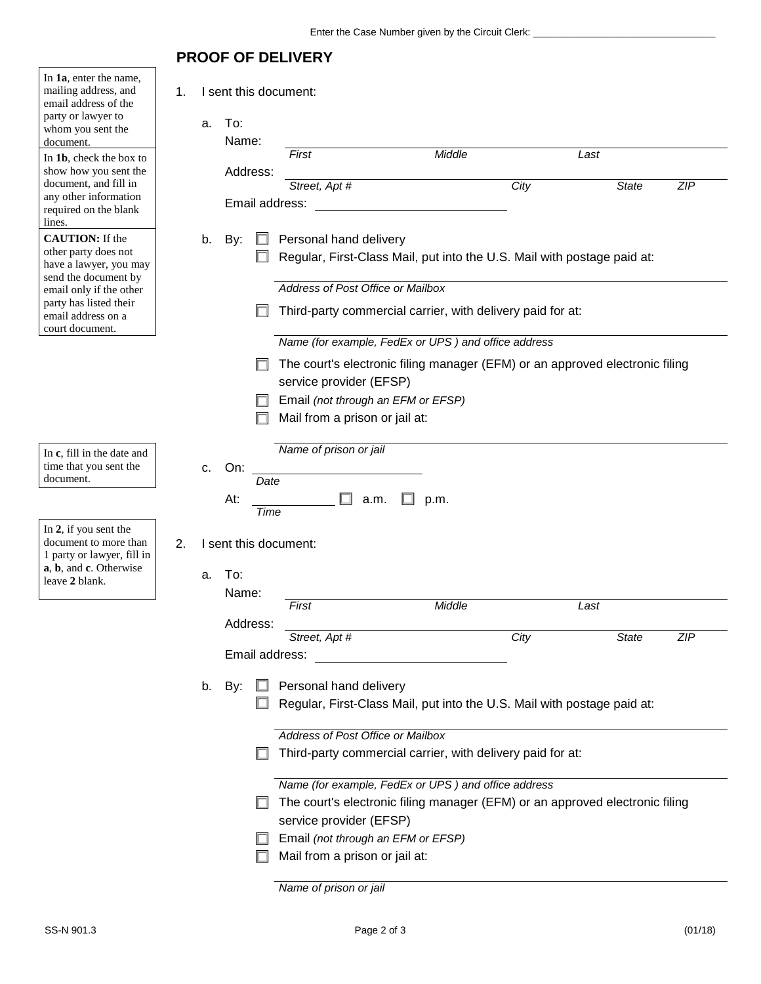## **PROOF OF DELIVERY**

| In 1a, enter the name,<br>mailing address, and<br>email address of the<br>party or lawyer to<br>whom you sent the<br>document.<br>In 1b, check the box to | 1. | a. | I sent this document:<br>To:<br>Name: | First                                                                                                   |                                   | Middle                                                     |      | Last                                                                         |            |
|-----------------------------------------------------------------------------------------------------------------------------------------------------------|----|----|---------------------------------------|---------------------------------------------------------------------------------------------------------|-----------------------------------|------------------------------------------------------------|------|------------------------------------------------------------------------------|------------|
| show how you sent the                                                                                                                                     |    |    | Address:                              |                                                                                                         |                                   |                                                            |      |                                                                              |            |
| document, and fill in                                                                                                                                     |    |    |                                       | Street, Apt #                                                                                           |                                   |                                                            | City | <b>State</b>                                                                 | <b>ZIP</b> |
| any other information<br>required on the blank                                                                                                            |    |    | Email address:                        |                                                                                                         |                                   |                                                            |      |                                                                              |            |
| lines.                                                                                                                                                    |    |    |                                       |                                                                                                         |                                   |                                                            |      |                                                                              |            |
| <b>CAUTION:</b> If the                                                                                                                                    |    | b. | By:                                   |                                                                                                         | Personal hand delivery            |                                                            |      |                                                                              |            |
| other party does not                                                                                                                                      |    |    |                                       |                                                                                                         |                                   |                                                            |      | Regular, First-Class Mail, put into the U.S. Mail with postage paid at:      |            |
| have a lawyer, you may<br>send the document by                                                                                                            |    |    |                                       |                                                                                                         |                                   |                                                            |      |                                                                              |            |
| email only if the other                                                                                                                                   |    |    |                                       |                                                                                                         | Address of Post Office or Mailbox |                                                            |      |                                                                              |            |
| party has listed their<br>email address on a                                                                                                              |    |    |                                       |                                                                                                         |                                   | Third-party commercial carrier, with delivery paid for at: |      |                                                                              |            |
| court document.                                                                                                                                           |    |    |                                       |                                                                                                         |                                   | Name (for example, FedEx or UPS) and office address        |      |                                                                              |            |
|                                                                                                                                                           |    |    |                                       |                                                                                                         |                                   |                                                            |      | The court's electronic filing manager (EFM) or an approved electronic filing |            |
|                                                                                                                                                           |    |    |                                       |                                                                                                         | service provider (EFSP)           |                                                            |      |                                                                              |            |
|                                                                                                                                                           |    |    |                                       |                                                                                                         |                                   | Email (not through an EFM or EFSP)                         |      |                                                                              |            |
|                                                                                                                                                           |    |    |                                       |                                                                                                         | Mail from a prison or jail at:    |                                                            |      |                                                                              |            |
|                                                                                                                                                           |    |    |                                       |                                                                                                         |                                   |                                                            |      |                                                                              |            |
| In c, fill in the date and                                                                                                                                |    |    |                                       | Name of prison or jail                                                                                  |                                   |                                                            |      |                                                                              |            |
| time that you sent the                                                                                                                                    |    | c. | On:                                   |                                                                                                         |                                   |                                                            |      |                                                                              |            |
| document.                                                                                                                                                 |    |    | Date                                  |                                                                                                         |                                   |                                                            |      |                                                                              |            |
|                                                                                                                                                           |    |    | At:<br>Time                           |                                                                                                         | a.m.                              | p.m.                                                       |      |                                                                              |            |
| In 2, if you sent the                                                                                                                                     |    |    |                                       |                                                                                                         |                                   |                                                            |      |                                                                              |            |
| document to more than                                                                                                                                     | 2. |    | I sent this document:                 |                                                                                                         |                                   |                                                            |      |                                                                              |            |
| 1 party or lawyer, fill in                                                                                                                                |    |    |                                       |                                                                                                         |                                   |                                                            |      |                                                                              |            |
| a, b, and c. Otherwise<br>leave 2 blank.                                                                                                                  |    | a. | To:                                   |                                                                                                         |                                   |                                                            |      |                                                                              |            |
|                                                                                                                                                           |    |    | Name:                                 |                                                                                                         |                                   |                                                            |      |                                                                              |            |
|                                                                                                                                                           |    |    |                                       | First                                                                                                   |                                   | Middle                                                     |      | Last                                                                         |            |
|                                                                                                                                                           |    |    | Address:                              | Street, Apt #                                                                                           |                                   |                                                            | City | <b>State</b>                                                                 | <b>ZIP</b> |
|                                                                                                                                                           |    |    | Email address:                        |                                                                                                         |                                   |                                                            |      |                                                                              |            |
|                                                                                                                                                           |    |    |                                       |                                                                                                         |                                   |                                                            |      |                                                                              |            |
|                                                                                                                                                           |    |    | b. By:                                |                                                                                                         | Personal hand delivery            |                                                            |      |                                                                              |            |
|                                                                                                                                                           |    |    |                                       |                                                                                                         |                                   |                                                            |      | Regular, First-Class Mail, put into the U.S. Mail with postage paid at:      |            |
|                                                                                                                                                           |    |    |                                       |                                                                                                         |                                   |                                                            |      |                                                                              |            |
|                                                                                                                                                           |    |    |                                       |                                                                                                         | Address of Post Office or Mailbox |                                                            |      |                                                                              |            |
|                                                                                                                                                           |    |    |                                       |                                                                                                         |                                   | Third-party commercial carrier, with delivery paid for at: |      |                                                                              |            |
|                                                                                                                                                           |    |    |                                       |                                                                                                         |                                   |                                                            |      |                                                                              |            |
|                                                                                                                                                           |    |    |                                       |                                                                                                         |                                   | Name (for example, FedEx or UPS) and office address        |      |                                                                              |            |
|                                                                                                                                                           |    |    |                                       | The court's electronic filing manager (EFM) or an approved electronic filing<br>service provider (EFSP) |                                   |                                                            |      |                                                                              |            |
|                                                                                                                                                           |    |    |                                       |                                                                                                         |                                   |                                                            |      |                                                                              |            |
|                                                                                                                                                           |    |    |                                       |                                                                                                         |                                   | Email (not through an EFM or EFSP)                         |      |                                                                              |            |
|                                                                                                                                                           |    |    |                                       |                                                                                                         | Mail from a prison or jail at:    |                                                            |      |                                                                              |            |
|                                                                                                                                                           |    |    |                                       | Name of prison or jail                                                                                  |                                   |                                                            |      |                                                                              |            |